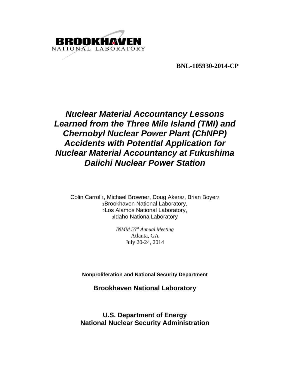

**BNL-105930-2014-CP** 

# *Nuclear Material Accountancy Lessons Learned from the Three Mile Island (TMI) and Chernobyl Nuclear Power Plant (ChNPP) Accidents with Potential Application for Nuclear Material Accountancy at Fukushima Daiichi Nuclear Power Station*

Colin Carroll<sub>1</sub>, Michael Browne2, Doug Akers3, Brian Boyer2 1Brookhaven National Laboratory, 2Los Alamos National Laboratory, 3Idaho NationalLaboratory

> *INMM 55th Annual Meeting*  Atlanta, GA July 20-24, 2014

**Nonproliferation and National Security Department** 

**Brookhaven National Laboratory** 

**U.S. Department of Energy National Nuclear Security Administration**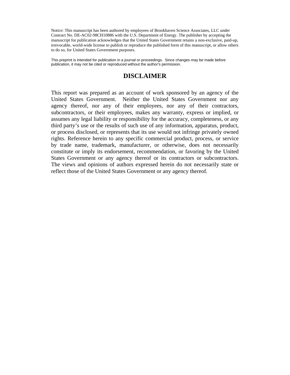Notice: This manuscript has been authored by employees of Brookhaven Science Associates, LLC under Contract No. DE-AC02-98CH10886 with the U.S. Department of Energy. The publisher by accepting the manuscript for publication acknowledges that the United States Government retains a non-exclusive, paid-up, irrevocable, world-wide license to publish or reproduce the published form of this manuscript, or allow others to do so, for United States Government purposes.

This preprint is intended for publication in a journal or proceedings. Since changes may be made before publication, it may not be cited or reproduced without the author's permission.

# **DISCLAIMER**

This report was prepared as an account of work sponsored by an agency of the United States Government. Neither the United States Government nor any agency thereof, nor any of their employees, nor any of their contractors, subcontractors, or their employees, makes any warranty, express or implied, or assumes any legal liability or responsibility for the accuracy, completeness, or any third party's use or the results of such use of any information, apparatus, product, or process disclosed, or represents that its use would not infringe privately owned rights. Reference herein to any specific commercial product, process, or service by trade name, trademark, manufacturer, or otherwise, does not necessarily constitute or imply its endorsement, recommendation, or favoring by the United States Government or any agency thereof or its contractors or subcontractors. The views and opinions of authors expressed herein do not necessarily state or reflect those of the United States Government or any agency thereof*.*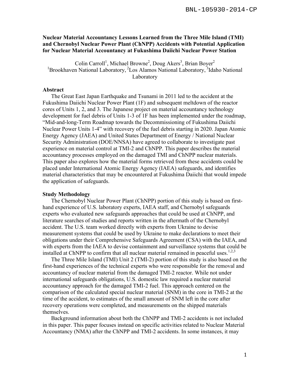# **Nuclear Material Accountancy Lessons Learned from the Three Mile Island (TMI) and Chernobyl Nuclear Power Plant (ChNPP) Accidents with Potential Application for Nuclear Material Accountancy at Fukushima Daiichi Nuclear Power Station**

Colin Carroll<sup>1</sup>, Michael Browne<sup>2</sup>, Doug Akers<sup>3</sup>, Brian Boyer<sup>2</sup> <sup>1</sup>Brookhaven National Laboratory, <sup>2</sup>Los Alamos National Laboratory, <sup>3</sup>Idaho National Laboratory

#### **Abstract**

The Great East Japan Earthquake and Tsunami in 2011 led to the accident at the Fukushima Daiichi Nuclear Power Plant (1F) and subsequent meltdown of the reactor cores of Units 1, 2, and 3. The Japanese project on material accountancy technology development for fuel debris of Units 1-3 of 1F has been implemented under the roadmap, "Mid-and-long-Term Roadmap towards the Decommissioning of Fukushima Daiichi Nuclear Power Units 1-4" with recovery of the fuel debris starting in 2020. Japan Atomic Energy Agency (JAEA) and United States Department of Energy / National Nuclear Security Administration (DOE/NNSA) have agreed to collaborate to investigate past experience on material control at TMI-2 and ChNPP. This paper describes the material accountancy processes employed on the damaged TMI and ChNPP nuclear materials. This paper also explores how the material forms retrieved from these accidents could be placed under International Atomic Energy Agency (IAEA) safeguards, and identifies material characteristics that may be encountered at Fukushima Daiichi that would impede the application of safeguards.

#### **Study Methodology**

The Chernobyl Nuclear Power Plant (ChNPP) portion of this study is based on firsthand experience of U.S. laboratory experts, IAEA staff, and Chernobyl safeguards experts who evaluated new safeguards approaches that could be used at ChNPP, and literature searches of studies and reports written in the aftermath of the Chernobyl accident. The U.S. team worked directly with experts from Ukraine to devise measurement systems that could be used by Ukraine to make declarations to meet their obligations under their Comprehensive Safeguards Agreement (CSA) with the IAEA, and with experts from the IAEA to devise containment and surveillance systems that could be installed at ChNPP to confirm that all nuclear material remained in peaceful uses.<sup>1,2,3</sup>

The Three Mile Island (TMI) Unit 2 (TMI-2) portion of this study is also based on the first-hand experiences of the technical experts who were responsible for the removal and accountancy of nuclear material from the damaged TMI-2 reactor. While not under international safeguards obligations, U.S. domestic law required a nuclear material accountancy approach for the damaged TMI-2 fuel. This approach centered on the comparison of the calculated special nuclear material (SNM) in the core in TMI-2 at the time of the accident, to estimates of the small amount of SNM left in the core after recovery operations were completed, and measurements on the shipped materials themselves.

Background information about both the ChNPP and TMI-2 accidents is not included in this paper. This paper focuses instead on specific activities related to Nuclear Material Accountancy (NMA) after the ChNPP and TMI-2 accidents. In some instances, it may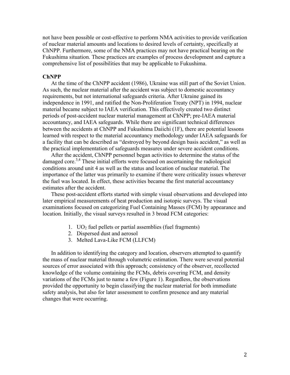not have been possible or cost-effective to perform NMA activities to provide verification of nuclear material amounts and locations to desired levels of certainty, specifically at ChNPP. Furthermore, some of the NMA practices may not have practical bearing on the Fukushima situation. These practices are examples of process development and capture a comprehensive list of possibilities that may be applicable to Fukushima.

## **ChNPP**

At the time of the ChNPP accident (1986), Ukraine was still part of the Soviet Union. As such, the nuclear material after the accident was subject to domestic accountancy requirements, but not international safeguards criteria. After Ukraine gained its independence in 1991, and ratified the Non-Proliferation Treaty (NPT) in 1994, nuclear material became subject to IAEA verification. This effectively created two distinct periods of post-accident nuclear material management at ChNPP; pre-IAEA material accountancy, and IAEA safeguards. While there are significant technical differences between the accidents at ChNPP and Fukushima Daiichi (1F), there are potential lessons learned with respect to the material accountancy methodology under IAEA safeguards for a facility that can be described as "destroyed by beyond design basis accident," as well as the practical implementation of safeguards measures under severe accident conditions.

After the accident, ChNPP personnel began activities to determine the status of the damaged core.<sup>3,4</sup> These initial efforts were focused on ascertaining the radiological conditions around unit 4 as well as the status and location of nuclear material. The importance of the latter was primarily to examine if there were criticality issues wherever the fuel was located. In effect, these activities became the first material accountancy estimates after the accident.

These post-accident efforts started with simple visual observations and developed into later empirical measurements of heat production and isotopic surveys. The visual examinations focused on categorizing Fuel Containing Masses (FCM) by appearance and location. Initially, the visual surveys resulted in 3 broad FCM categories:

- 1. UO<sub>2</sub> fuel pellets or partial assemblies (fuel fragments)
- 2. Dispersed dust and aerosol
- 3. Melted Lava-Like FCM (LLFCM)

In addition to identifying the category and location, observers attempted to quantify the mass of nuclear material through volumetric estimation. There were several potential sources of error associated with this approach; consistency of the observer, recollected knowledge of the volume containing the FCMs, debris covering FCM, and density variations of the FCMs just to name a few (Figure 1). Regardless, the observations provided the opportunity to begin classifying the nuclear material for both immediate safety analysis, but also for later assessment to confirm presence and any material changes that were occurring.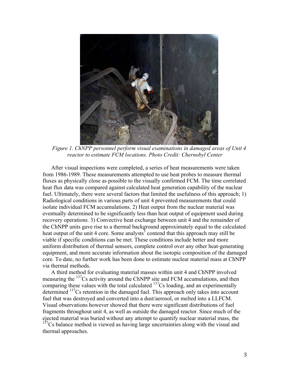

*Figure 1. ChNPP personnel perform visual examinations in damaged areas of Unit 4 reactor to estimate FCM locations. Photo Credit: Chernobyl Center*

After visual inspections were completed, a series of heat measurements were taken from 1986-1989. These measurements attempted to use heat probes to measure thermal fluxes as physically close as possible to the visually confirmed FCM. The time correlated heat flux data was compared against calculated heat generation capability of the nuclear fuel. Ultimately, there were several factors that limited the usefulness of this approach; 1) Radiological conditions in various parts of unit 4 prevented measurements that could isolate individual FCM accumulations. 2) Heat output from the nuclear material was eventually determined to be significantly less than heat output of equipment used during recovery operations. 3) Convective heat exchange between unit 4 and the remainder of the ChNPP units gave rise to a thermal background approximately equal to the calculated heat output of the unit 4 core. Some analysts<sup>5</sup> contend that this approach may still be viable if specific conditions can be met. These conditions include better and more uniform distribution of thermal sensors, complete control over any other heat-generating equipment, and more accurate information about the isotopic composition of the damaged core. To date, no further work has been done to estimate nuclear material mass at ChNPP via thermal methods.

A third method for evaluating material masses within unit 4 and ChNPP involved measuring the <sup>137</sup>Cs activity around the ChNPP site and FCM accumulations, and then comparing these values with the total calculated  $137Cs$  loading, and an experimentally determined <sup>137</sup>Cs retention in the damaged fuel. This approach only takes into account fuel that was destroyed and converted into a dust/aerosol, or melted into a LLFCM. Visual observations however showed that there were significant distributions of fuel fragments throughout unit 4, as well as outside the damaged reactor. Since much of the ejected material was buried without any attempt to quantify nuclear material mass, the  $137$ Cs balance method is viewed as having large uncertainties along with the visual and thermal approaches.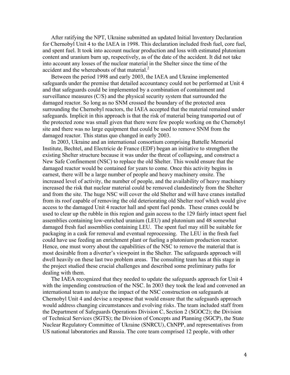After ratifying the NPT, Ukraine submitted an updated Initial Inventory Declaration for Chernobyl Unit 4 to the IAEA in 1998. This declaration included fresh fuel, core fuel, and spent fuel. It took into account nuclear production and loss with estimated plutonium content and uranium burn up, respectively, as of the date of the accident. It did not take into account any losses of the nuclear material in the Shelter since the time of the accident and the whereabouts of that material.<sup>2</sup>

Between the period 1998 and early 2003, the IAEA and Ukraine implemented safeguards under the premise that detailed accountancy could not be performed at Unit 4 and that safeguards could be implemented by a combination of containment and surveillance measures (C/S) and the physical security system that surrounded the damaged reactor. So long as no SNM crossed the boundary of the protected area surrounding the Chernobyl reactors, the IAEA accepted that the material remained under safeguards. Implicit in this approach is that the risk of material being transported out of the protected zone was small given that there were few people working on the Chernobyl site and there was no large equipment that could be used to remove SNM from the damaged reactor. This status quo changed in early 2003.

In 2003, Ukraine and an international consortium comprising Battelle Memorial Institute, Bechtel, and Electricie de France (EDF) began an initiative to strengthen the existing Shelter structure because it was under the threat of collapsing, and construct a New Safe Confinement (NSC) to replace the old Shelter. This would ensure that the damaged reactor would be contained for years to come. Once this activity begins in earnest, there will be a large number of people and heavy machinery onsite. The increased level of activity, the number of people, and the availability of heavy machinery increased the risk that nuclear material could be removed clandestinely from the Shelter and from the site. The huge NSC will cover the old Shelter and will have cranes installed from its roof capable of removing the old deteriorating old Shelter roof which would give access to the damaged Unit 4 reactor hall and spent fuel ponds. These cranes could be used to clear up the rubble in this region and gain access to the 129 fairly intact spent fuel assemblies containing low-enriched uranium (LEU) and plutonium and 48 somewhat damaged fresh fuel assemblies containing LEU. The spent fuel may still be suitable for packaging in a cask for removal and eventual reprocessing. The LEU in the fresh fuel could have use feeding an enrichment plant or fueling a plutonium production reactor. Hence, one must worry about the capabilities of the NSC to remove the material that is most desirable from a diverter's viewpoint in the Shelter. The safeguards approach will dwell heavily on these last two problem areas. The consulting team has at this stage in the project studied these crucial challenges and described some preliminary paths for dealing with them.

The IAEA recognized that they needed to update the safeguards approach for Unit 4 with the impending construction of the NSC. In 2003 they took the lead and convened an international team to analyze the impact of the NSC construction on safeguards at Chernobyl Unit 4 and devise a response that would ensure that the safeguards approach would address changing circumstances and evolving risks. The team included staff from the Department of Safeguards Operations Division C, Section 2 (SGOC2); the Division of Technical Services (SGTS); the Division of Concepts and Planning (SGCP), the State Nuclear Regulatory Committee of Ukraine (SNRCU), ChNPP, and representatives from US national laboratories and Russia. The core team comprised 12 people, with other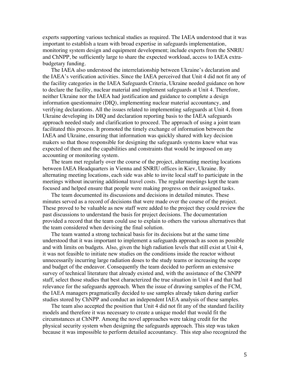experts supporting various technical studies as required. The IAEA understood that it was important to establish a team with broad expertise in safeguards implementation, monitoring system design and equipment development; include experts from the SNRIU and ChNPP, be sufficiently large to share the expected workload, access to IAEA extrabudgetary funding.

The IAEA also understood the interrelationship between Ukraine's declaration and the IAEA's verification activities. Since the IAEA perceived that Unit 4 did not fit any of the facility categories in the IAEA Safeguards Criteria, Ukraine needed guidance on how to declare the facility, nuclear material and implement safeguards at Unit 4. Therefore, neither Ukraine nor the IAEA had justification and guidance to complete a design information questionnaire (DIQ), implementing nuclear material accountancy, and verifying declarations. All the issues related to implementing safeguards at Unit 4, from Ukraine developing its DIQ and declaration reporting basis to the IAEA safeguards approach needed study and clarification to proceed. The approach of using a joint team facilitated this process. It promoted the timely exchange of information between the IAEA and Ukraine, ensuring that information was quickly shared with key decision makers so that those responsible for designing the safeguards systems knew what was expected of them and the capabilities and constraints that would be imposed on any accounting or monitoring system.

The team met regularly over the course of the project, alternating meeting locations between IAEA Headquarters in Vienna and SNRIU offices in Kiev, Ukraine. By alternating meeting locations, each side was able to invite local staff to participate in the meetings without incurring additional travel costs. The regular meetings kept the team focused and helped ensure that people were making progress on their assigned tasks.

The team documented its discussions and decisions in detailed minutes. These minutes served as a record of decisions that were made over the course of the project. These proved to be valuable as new staff were added to the project they could review the past discussions to understand the basis for project decisions. The documentation provided a record that the team could use to explain to others the various alternatives that the team considered when devising the final solution.

The team wanted a strong technical basis for its decisions but at the same time understood that it was important to implement a safeguards approach as soon as possible and with limits on budgets. Also, given the high radiation levels that still exist at Unit 4, it was not feasible to initiate new studies on the conditions inside the reactor without unnecessarily incurring large radiation doses to the study teams or increasing the scope and budget of the endeavor. Consequently the team decided to perform an extensive survey of technical literature that already existed and, with the assistance of the ChNPP staff, select those studies that best characterized the true situation in Unit 4 and that had relevance for the safeguards approach. When the issue of drawing samples of the FCM, the IAEA managers pragmatically decided to use samples already taken during earlier studies stored by ChNPP and conduct an independent IAEA analysis of these samples.

The team also accepted the position that Unit 4 did not fit any of the standard facility models and therefore it was necessary to create a unique model that would fit the circumstances at ChNPP. Among the novel approaches were taking credit for the physical security system when designing the safeguards approach. This step was taken because it was impossible to perform detailed accountancy. This step also recognized the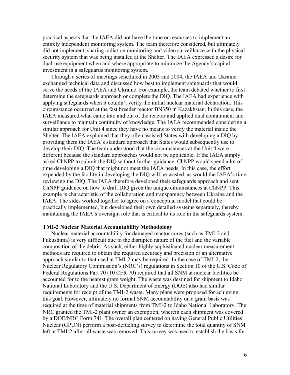practical aspects that the IAEA did not have the time or resources to implement an entirely independent monitoring system. The team therefore considered, but ultimately did not implement, sharing radiation monitoring and video surveillance with the physical security system that was being installed at the Shelter. The IAEA expressed a desire for dual-use equipment when and where appropriate to minimize the Agency's capital investment in a safeguards monitoring system.

Through a series of meetings scheduled in 2003 and 2004, the IAEA and Ukraine exchanged technical data and discussed how best to implement safeguards that would serve the needs of the IAEA and Ukraine. For example, the team debated whether to first determine the safeguards approach or complete the DIQ. The IAEA had experience with applying safeguards when it couldn't verify the initial nuclear material declaration. This circumstance occurred at the fast breeder reactor BN350 in Kazakhstan. In this case, the IAEA measured what came into and out of the reactor and applied dual containment and surveillance to maintain continuity of knowledge. The IAEA recommended considering a similar approach for Unit 4 since they have no means to verify the material inside the Shelter. The IAEA explained that they often assisted States with developing a DIQ by providing them the IAEA's standard approach that States would subsequently use to develop their DIQ. The team understood that the circumstances at the Unit 4 were different because the standard approaches would not be applicable. If the IAEA simply asked ChNPP to submit the DIQ without further guidance, ChNPP would spend a lot of time developing a DIQ that might not meet the IAEA needs. In this case, the effort expended by the facility in developing the DIQ will be wasted, as would the IAEA's time reviewing the DIQ. The IAEA therefore developed their safeguards approach and sent ChNPP guidance on how to draft DIQ given the unique circumstances at ChNPP. This example is characteristic of the collaboration and transparency between Ukraine and the IAEA. The sides worked together to agree on a conceptual model that could be practically implemented, but developed their own detailed systems separately, thereby maintaining the IAEA's oversight role that is critical to its role in the safeguards system.

#### **TMI-2 Nuclear Material Accountability Methodology**

Nuclear material accountability for damaged reactor cores (such as TMI-2 and Fukushima) is very difficult due to the disrupted nature of the fuel and the variable composition of the debris. As such, either highly sophisticated nuclear measurement methods are required to obtain the required accuracy and precision or an alternative approach similar to that used at TMI-2 may be required. In the case of TMI-2, the Nuclear Regulatory Commission's (NRC's) regulations in Section 10 of the U.S. Code of Federal Regulations Part 70 (10 CFR 70) required that all SNM at nuclear facilities be accounted for to the nearest gram weight. The waste was destined for shipment to Idaho National Laboratory and the U.S. Department of Energy (DOE) also had similar requirements for receipt of the TMI-2 waste. Many plans were proposed for achieving this goal. However, ultimately no formal SNM accountability on a gram basis was required at the time of material shipments from TMI-2 to Idaho National Laboratory. The NRC granted the TMI-2 plant owner an exemption, wherein each shipment was covered by a DOE/NRC Form 741. The overall plan centered on having General Public Utilities Nuclear (GPUN) perform a post-defueling survey to determine the total quantity of SNM left at TMI-2 after all waste was removed. This survey was used to establish the basis for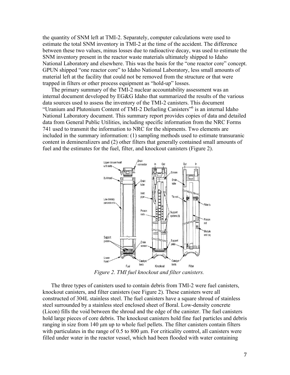the quantity of SNM left at TMI-2. Separately, computer calculations were used to estimate the total SNM inventory in TMI-2 at the time of the accident. The difference between these two values, minus losses due to radioactive decay, was used to estimate the SNM inventory present in the reactor waste materials ultimately shipped to Idaho National Laboratory and elsewhere. This was the basis for the "one reactor core" concept. GPUN shipped "one reactor core" to Idaho National Laboratory, less small amounts of material left at the facility that could not be removed from the structure or that were trapped in filters or other process equipment as "hold-up" losses.

The primary summary of the TMI-2 nuclear accountability assessment was an internal document developed by EG&G Idaho that summarized the results of the various data sources used to assess the inventory of the TMI-2 canisters. This document "Uranium and Plutonium Content of TMI-2 Defueling Canisters"<sup>6</sup> is an internal Idaho National Laboratory document. This summary report provides copies of data and detailed data from General Public Utilities, including specific information from the NRC Forms 741 used to transmit the information to NRC for the shipments. Two elements are included in the summary information: (1) sampling methods used to estimate transuranic content in demineralizers and (2) other filters that generally contained small amounts of fuel and the estimates for the fuel, filter, and knockout canisters (Figure 2).



*Figure 2. TMI fuel knockout and filter canisters.*

The three types of canisters used to contain debris from TMI-2 were fuel canisters, knockout canisters, and filter canisters (see Figure 2). These canisters were all constructed of 304L stainless steel. The fuel canisters have a square shroud of stainless steel surrounded by a stainless steel enclosed sheet of Boral. Low-density concrete (Licon) fills the void between the shroud and the edge of the canister. The fuel canisters hold large pieces of core debris. The knockout canisters hold fine fuel particles and debris ranging in size from 140 µm up to whole fuel pellets. The filter canisters contain filters with particulates in the range of 0.5 to 800 um. For criticality control, all canisters were filled under water in the reactor vessel, which had been flooded with water containing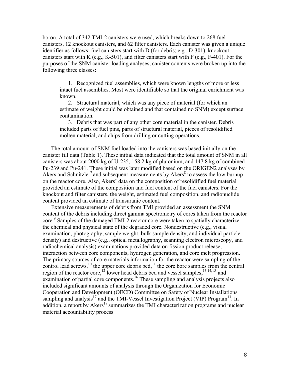boron. A total of 342 TMI-2 canisters were used, which breaks down to 268 fuel canisters, 12 knockout canisters, and 62 filter canisters. Each canister was given a unique identifier as follows: fuel canisters start with D (for debris; e.g., D-301), knockout canisters start with K (e.g., K-501), and filter canisters start with F (e.g., F-401). For the purposes of the SNM canister loading analyses, canister contents were broken up into the following three classes:

1. Recognized fuel assemblies, which were known lengths of more or less intact fuel assemblies. Most were identifiable so that the original enrichment was known.

2. Structural material, which was any piece of material (for which an estimate of weight could be obtained and that contained no SNM) except surface contamination.

3. Debris that was part of any other core material in the canister. Debris included parts of fuel pins, parts of structural material, pieces of resolidified molten material, and chips from drilling or cutting operations.

The total amount of SNM fuel loaded into the canisters was based initially on the canister fill data (Table 1). These initial data indicated that the total amount of SNM in all canisters was about 2000 kg of U-235, 158.2 kg of plutonium, and 147.8 kg of combined Pu-239 and Pu-241. These initial was later modified based on the ORIGEN2 analyses by Akers and Schnitzler<sup>7</sup> and subsequent measurements by Akers<sup>8</sup> to assess the low burnup on the reactor core. Also, Akers' data on the composition of resolidified fuel material provided an estimate of the composition and fuel content of the fuel canisters. For the knockout and filter canisters, the weight, estimated fuel composition, and radionuclide content provided an estimate of transuranic content.

Extensive measurements of debris from TMI provided an assessment the SNM content of the debris including direct gamma spectrometry of cores taken from the reactor core.<sup>9</sup> Samples of the damaged TMI-2 reactor core were taken to spatially characterize the chemical and physical state of the degraded core. Nondestructive (e.g., visual examination, photography, sample weight, bulk sample density, and individual particle density) and destructive (e.g., optical metallography, scanning electron microscopy, and radiochemical analysis) examinations provided data on fission product release, interaction between core components, hydrogen generation, and core melt progression. The primary sources of core materials information for the reactor were sampling of the control lead screws,  $^{10}$  the upper core debris bed,  $^{11}$  the core bore samples from the central region of the reactor core,<sup>12</sup> lower head debris bed and vessel samples,<sup>13,14,15</sup> and examination of partial core components.<sup>16</sup> These sampling and analysis projects also included significant amounts of analysis through the Organization for Economic Cooperation and Development (OECD) Committee on Safety of Nuclear Installations sampling and analysis<sup>17</sup> and the TMI-Vessel Investigation Project (VIP) Program<sup>13</sup>. In addition, a report by Akers<sup>18</sup> summarizes the TMI characterization programs and nuclear material accountability process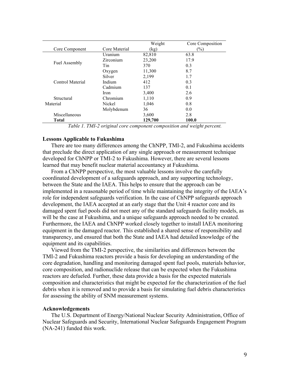|                  |               | Weight  | Core Composition |
|------------------|---------------|---------|------------------|
| Core Component   | Core Material | (kg)    | $(\%)$           |
| Fuel Assembly    | Uranium       | 82,810  | 63.8             |
|                  | Zirconium     | 23,200  | 17.9             |
|                  | Tin           | 370     | 0.3              |
|                  | Oxygen        | 11,300  | 8.7              |
| Control Material | Silver        | 2,199   | 1.7              |
|                  | Indium        | 412     | 0.3              |
|                  | Cadmium       | 137     | 0.1              |
|                  | Iron          | 3,400   | 2.6              |
| Structural       | Chromium      | 1,110   | 0.9              |
| Material         | Nickel        | 1,046   | 0.8              |
|                  | Molybdenum    | 36      | 0.0              |
| Miscellaneous    |               | 3,600   | 2.8              |
| <b>Total</b>     |               | 129,700 | 100.0            |

*Table 1. TMI-2 original core component composition and weight percent.*

#### **Lessons Applicable to Fukushima**

There are too many differences among the ChNPP, TMI-2, and Fukushima accidents that preclude the direct application of any single approach or measurement technique developed for ChNPP or TMI-2 to Fukushima. However, there are several lessons learned that may benefit nuclear material accountancy at Fukushima.

From a ChNPP perspective, the most valuable lessons involve the carefully coordinated development of a safeguards approach, and any supporting technology, between the State and the IAEA. This helps to ensure that the approach can be implemented in a reasonable period of time while maintaining the integrity of the IAEA's role for independent safeguards verification. In the case of ChNPP safeguards approach development, the IAEA accepted at an early stage that the Unit 4 reactor core and its damaged spent fuel pools did not meet any of the standard safeguards facility models, as will be the case at Fukushima, and a unique safeguards approach needed to be created. Furthermore, the IAEA and ChNPP worked closely together to install IAEA monitoring equipment in the damaged reactor. This established a shared sense of responsibility and transparency, and ensured that both the State and IAEA had detailed knowledge of the equipment and its capabilities.

Viewed from the TMI-2 perspective, the similarities and differences between the TMI-2 and Fukushima reactors provide a basis for developing an understanding of the core degradation, handling and monitoring damaged spent fuel pools, materials behavior, core composition, and radionuclide release that can be expected when the Fukushima reactors are defueled. Further, these data provide a basis for the expected materials composition and characteristics that might be expected for the characterization of the fuel debris when it is removed and to provide a basis for simulating fuel debris characteristics for assessing the ability of SNM measurement systems.

#### **Acknowledgements**

The U.S. Department of Energy/National Nuclear Security Administration, Office of Nuclear Safeguards and Security, International Nuclear Safeguards Engagement Program (NA-241) funded this work.